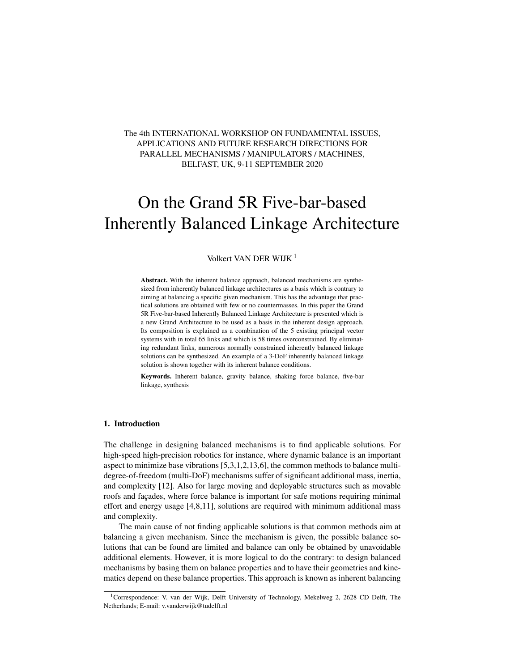# The 4th INTERNATIONAL WORKSHOP ON FUNDAMENTAL ISSUES, APPLICATIONS AND FUTURE RESEARCH DIRECTIONS FOR PARALLEL MECHANISMS / MANIPULATORS / MACHINES, BELFAST, UK, 9-11 SEPTEMBER 2020

# On the Grand 5R Five-bar-based Inherently Balanced Linkage Architecture

# Volkert VAN DER WIJK<sup>1</sup>

Abstract. With the inherent balance approach, balanced mechanisms are synthesized from inherently balanced linkage architectures as a basis which is contrary to aiming at balancing a specific given mechanism. This has the advantage that practical solutions are obtained with few or no countermasses. In this paper the Grand 5R Five-bar-based Inherently Balanced Linkage Architecture is presented which is a new Grand Architecture to be used as a basis in the inherent design approach. Its composition is explained as a combination of the 5 existing principal vector systems with in total 65 links and which is 58 times overconstrained. By eliminating redundant links, numerous normally constrained inherently balanced linkage solutions can be synthesized. An example of a 3-DoF inherently balanced linkage solution is shown together with its inherent balance conditions.

Keywords. Inherent balance, gravity balance, shaking force balance, five-bar linkage, synthesis

### 1. Introduction

The challenge in designing balanced mechanisms is to find applicable solutions. For high-speed high-precision robotics for instance, where dynamic balance is an important aspect to minimize base vibrations [5,3,1,2,13,6], the common methods to balance multidegree-of-freedom (multi-DoF) mechanisms suffer of significant additional mass, inertia, and complexity [12]. Also for large moving and deployable structures such as movable roofs and facades, where force balance is important for safe motions requiring minimal effort and energy usage [4,8,11], solutions are required with minimum additional mass and complexity.

The main cause of not finding applicable solutions is that common methods aim at balancing a given mechanism. Since the mechanism is given, the possible balance solutions that can be found are limited and balance can only be obtained by unavoidable additional elements. However, it is more logical to do the contrary: to design balanced mechanisms by basing them on balance properties and to have their geometries and kinematics depend on these balance properties. This approach is known as inherent balancing

<sup>&</sup>lt;sup>1</sup>Correspondence: V. van der Wijk, Delft University of Technology, Mekelweg 2, 2628 CD Delft, The Netherlands; E-mail: v.vanderwijk@tudelft.nl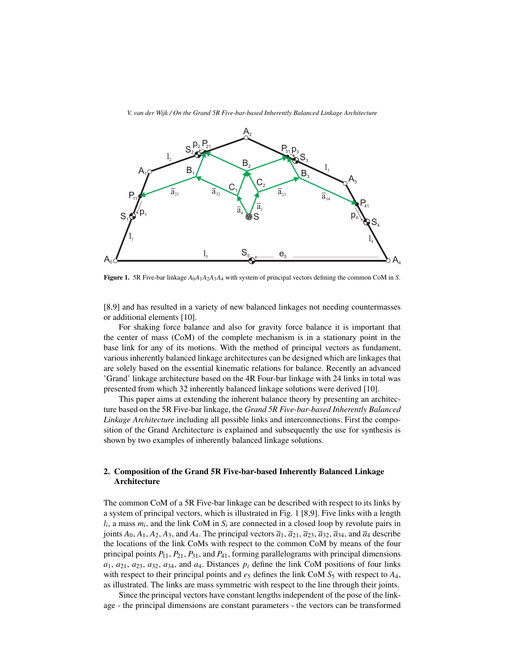

**Figure 1.** 5R Five-bar linkage  $A_0A_1A_2A_3A_4$  with system of principal vectors defining the common CoM in *S*.

[8,9] and has resulted in a variety of new balanced linkages not needing countermasses or additional elements [10].

For shaking force balance and also for gravity force balance it is important that the center of mass (CoM) of the complete mechanism is in a stationary point in the base link for any of its motions. With the method of principal vectors as fundament, various inherently balanced linkage architectures can be designed which are linkages that are solely based on the essential kinematic relations for balance. Recently an advanced 'Grand' linkage architecture based on the 4R Four-bar linkage with 24 links in total was presented from which 32 inherently balanced linkage solutions were derived [10].

This paper aims at extending the inherent balance theory by presenting an architecture based on the 5R Five-bar linkage, the *Grand 5R Five-bar-based Inherently Balanced Linkage Architecture* including all possible links and interconnections. First the composition of the Grand Architecture is explained and subsequently the use for synthesis is shown by two examples of inherently balanced linkage solutions.

## 2. Composition of the Grand 5R Five-bar-based Inherently Balanced Linkage Architecture

The common CoM of a 5R Five-bar linkage can be described with respect to its links by a system of principal vectors, which is illustrated in Fig. 1 [8,9]. Five links with a length  $l_i$ , a mass  $m_i$ , and the link CoM in  $S_i$  are connected in a closed loop by revolute pairs in joints  $A_0$ ,  $A_1$ ,  $A_2$ ,  $A_3$ , and  $A_4$ . The principal vectors  $\overline{a}_1$ ,  $\overline{a}_{21}$ ,  $\overline{a}_{23}$ ,  $\overline{a}_{32}$ ,  $\overline{a}_{34}$ , and  $\overline{a}_4$  describe the locations of the link CoMs with respect to the common CoM by means of the four principal points *P*11, *P*21, *P*31, and *P*41, forming parallelograms with principal dimensions  $a_1, a_2, a_3, a_4, a_5, a_6$  *a*<sub>4</sub>, and  $a_4$ . Distances  $p_i$  define the link CoM positions of four links with respect to their principal points and  $e_5$  defines the link CoM  $S_5$  with respect to  $A_4$ , as illustrated. The links are mass symmetric with respect to the line through their joints.

Since the principal vectors have constant lengths independent of the pose of the linkage - the principal dimensions are constant parameters - the vectors can be transformed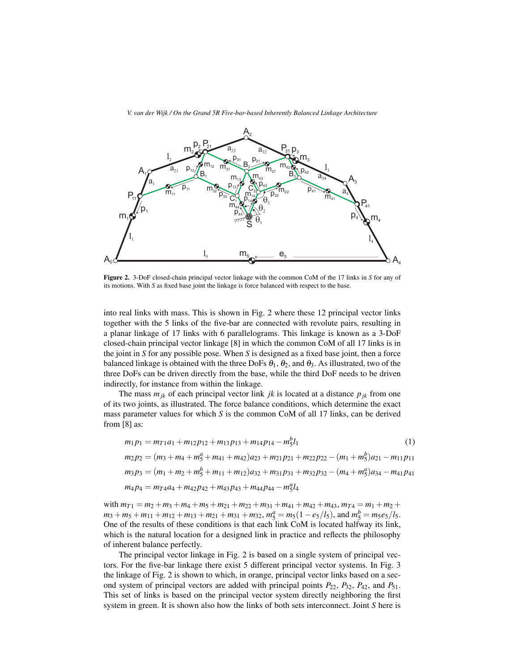

*V. van der Wijk / On the Grand 5R Five-bar-based Inherently Balanced Linkage Architecture*

Figure 2. 3-DoF closed-chain principal vector linkage with the common CoM of the 17 links in *S* for any of its motions. With *S* as fixed base joint the linkage is force balanced with respect to the base.

into real links with mass. This is shown in Fig. 2 where these 12 principal vector links together with the 5 links of the five-bar are connected with revolute pairs, resulting in a planar linkage of 17 links with 6 parallelograms. This linkage is known as a 3-DoF closed-chain principal vector linkage [8] in which the common CoM of all 17 links is in the joint in *S* for any possible pose. When *S* is designed as a fixed base joint, then a force balanced linkage is obtained with the three DoFs  $\theta_1$ ,  $\theta_2$ , and  $\theta_3$ . As illustrated, two of the three DoFs can be driven directly from the base, while the third DoF needs to be driven indirectly, for instance from within the linkage.

The mass  $m_{jk}$  of each principal vector link *jk* is located at a distance  $p_{jk}$  from one of its two joints, as illustrated. The force balance conditions, which determine the exact mass parameter values for which *S* is the common CoM of all 17 links, can be derived from [8] as:

$$
m_1 p_1 = m_{T1} a_1 + m_{12} p_{12} + m_{13} p_{13} + m_{14} p_{14} - m_5^b l_1
$$
\n<sup>(1)</sup>

$$
m_2p_2 = (m_3 + m_4 + m_5^a + m_{41} + m_{42})a_{23} + m_{21}p_{21} + m_{22}p_{22} - (m_1 + m_5^b)a_{21} - m_{11}p_{11}
$$
  

$$
m_3p_3 = (m_1 + m_2 + m_5^b + m_{11} + m_{12})a_{32} + m_{31}p_{31} + m_{32}p_{32} - (m_4 + m_5^a)a_{34} - m_{41}p_{41}
$$

$$
m_4p_4 = m_{T4}a_4 + m_{42}p_{42} + m_{43}p_{43} + m_{44}p_{44} - m_5^a l_4
$$

with  $m_{T1} = m_2 + m_3 + m_4 + m_5 + m_{21} + m_{22} + m_{31} + m_{41} + m_{42} + m_{43}, m_{T4} = m_1 + m_2 +$  $m_3 + m_5 + m_{11} + m_{12} + m_{13} + m_{21} + m_{31} + m_{32}, m_5^a = m_5(1 - e_5/l_5)$ , and  $m_5^b = m_5e_5/l_5$ . One of the results of these conditions is that each link CoM is located halfway its link, which is the natural location for a designed link in practice and reflects the philosophy of inherent balance perfectly.

The principal vector linkage in Fig. 2 is based on a single system of principal vectors. For the five-bar linkage there exist 5 different principal vector systems. In Fig. 3 the linkage of Fig. 2 is shown to which, in orange, principal vector links based on a second system of principal vectors are added with principal points  $P_{22}$ ,  $P_{32}$ ,  $P_{42}$ , and  $P_{51}$ . This set of links is based on the principal vector system directly neighboring the first system in green. It is shown also how the links of both sets interconnect. Joint *S* here is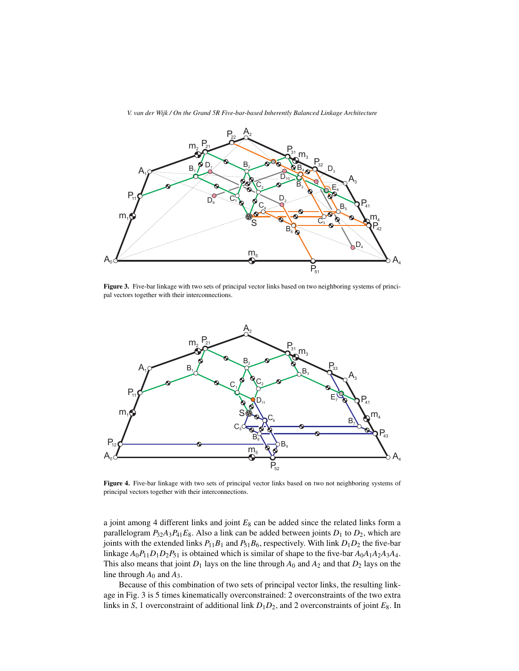

Figure 3. Five-bar linkage with two sets of principal vector links based on two neighboring systems of principal vectors together with their interconnections.



Figure 4. Five-bar linkage with two sets of principal vector links based on two not neighboring systems of principal vectors together with their interconnections.

a joint among 4 different links and joint *E*<sup>8</sup> can be added since the related links form a parallelogram  $P_{32}A_3P_{41}E_8$ . Also a link can be added between joints  $D_1$  to  $D_2$ , which are joints with the extended links  $P_{11}B_1$  and  $P_{51}B_6$ , respectively. With link  $D_1D_2$  the five-bar linkage  $A_0P_{11}D_1D_2P_{51}$  is obtained which is similar of shape to the five-bar  $A_0A_1A_2A_3A_4$ . This also means that joint  $D_1$  lays on the line through  $A_0$  and  $A_2$  and that  $D_2$  lays on the line through  $A_0$  and  $A_3$ .

Because of this combination of two sets of principal vector links, the resulting linkage in Fig. 3 is 5 times kinematically overconstrained: 2 overconstraints of the two extra links in *S*, 1 overconstraint of additional link  $D_1D_2$ , and 2 overconstraints of joint  $E_8$ . In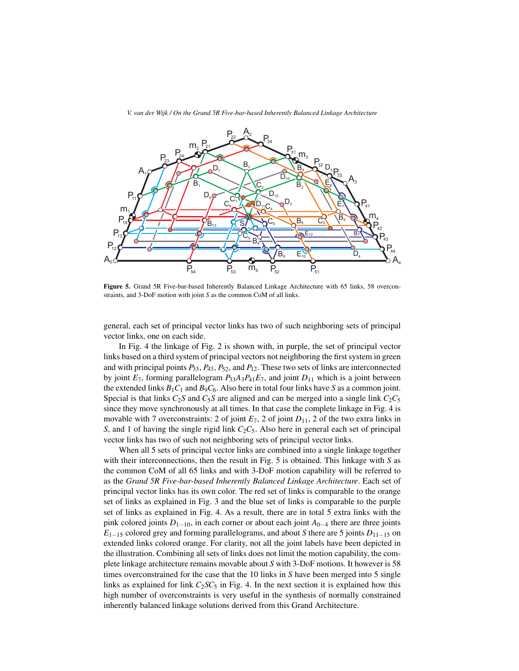

Figure 5. Grand 5R Five-bar-based Inherently Balanced Linkage Architecture with 65 links, 58 overconstraints, and 3-DoF motion with joint *S* as the common CoM of all links.

general, each set of principal vector links has two of such neighboring sets of principal vector links, one on each side.

In Fig. 4 the linkage of Fig. 2 is shown with, in purple, the set of principal vector links based on a third system of principal vectors not neighboring the first system in green and with principal points *P*33, *P*43, *P*52, and *P*12. These two sets of links are interconnected by joint  $E_7$ , forming parallelogram  $P_{33}A_3P_{41}E_7$ , and joint  $D_{11}$  which is a joint between the extended links  $B_1C_1$  and  $B_9C_6$ . Also here in total four links have *S* as a common joint. Special is that links  $C_2S$  and  $C_5S$  are aligned and can be merged into a single link  $C_2C_5$ since they move synchronously at all times. In that case the complete linkage in Fig. 4 is movable with 7 overconstraints: 2 of joint  $E_7$ , 2 of joint  $D_{11}$ , 2 of the two extra links in *S*, and 1 of having the single rigid link *C*2*C*5. Also here in general each set of principal vector links has two of such not neighboring sets of principal vector links.

When all 5 sets of principal vector links are combined into a single linkage together with their interconnections, then the result in Fig. 5 is obtained. This linkage with *S* as the common CoM of all 65 links and with 3-DoF motion capability will be referred to as the *Grand 5R Five-bar-based Inherently Balanced Linkage Architecture*. Each set of principal vector links has its own color. The red set of links is comparable to the orange set of links as explained in Fig. 3 and the blue set of links is comparable to the purple set of links as explained in Fig. 4. As a result, there are in total 5 extra links with the pink colored joints *D*1*−*10, in each corner or about each joint *A*0*−*<sup>4</sup> there are three joints *E*1*−*<sup>15</sup> colored grey and forming parallelograms, and about *S* there are 5 joints *D*11*−*<sup>15</sup> on extended links colored orange. For clarity, not all the joint labels have been depicted in the illustration. Combining all sets of links does not limit the motion capability, the complete linkage architecture remains movable about *S* with 3-DoF motions. It however is 58 times overconstrained for the case that the 10 links in *S* have been merged into 5 single links as explained for link  $C_2SC_5$  in Fig. 4. In the next section it is explained how this high number of overconstraints is very useful in the synthesis of normally constrained inherently balanced linkage solutions derived from this Grand Architecture.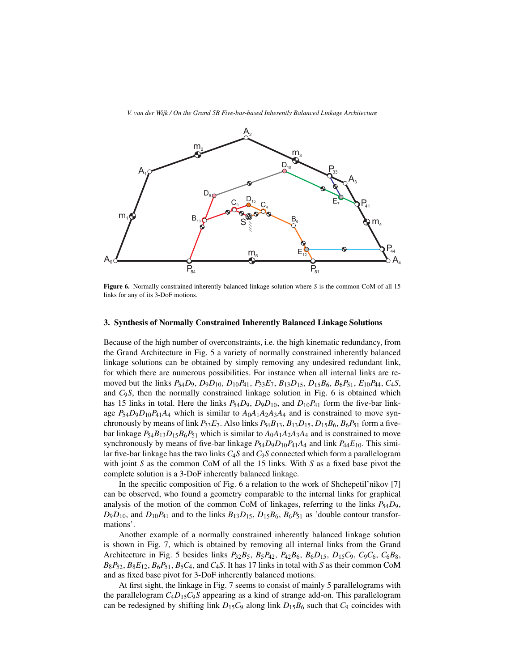

Figure 6. Normally constrained inherently balanced linkage solution where *S* is the common CoM of all 15 links for any of its 3-DoF motions.

#### 3. Synthesis of Normally Constrained Inherently Balanced Linkage Solutions

Because of the high number of overconstraints, i.e. the high kinematic redundancy, from the Grand Architecture in Fig. 5 a variety of normally constrained inherently balanced linkage solutions can be obtained by simply removing any undesired redundant link, for which there are numerous possibilities. For instance when all internal links are removed but the links  $P_54D_9$ ,  $D_9D_{10}$ ,  $D_{10}P_{41}$ ,  $P_33E_7$ ,  $B_{13}D_{15}$ ,  $D_{15}B_6$ ,  $B_6P_{51}$ ,  $E_{10}P_{44}$ ,  $C_4S$ , and *C*9*S*, then the normally constrained linkage solution in Fig. 6 is obtained which has 15 links in total. Here the links  $P_{54}D_9$ ,  $D_9D_{10}$ , and  $D_{10}P_{41}$  form the five-bar linkage  $P_{54}D_9D_{10}P_{41}A_4$  which is similar to  $A_0A_1A_2A_3A_4$  and is constrained to move synchronously by means of link  $P_{33}E_7$ . Also links  $P_{54}B_{13}$ ,  $B_{13}D_{15}$ ,  $D_{15}B_6$ ,  $B_6P_{51}$  form a fivebar linkage  $P_{54}B_{13}D_{15}B_6P_{51}$  which is similar to  $A_0A_1A_2A_3A_4$  and is constrained to move synchronously by means of five-bar linkage  $P_{54}D_9D_{10}P_{41}A_4$  and link  $P_{44}E_{10}$ . This similar five-bar linkage has the two links *C*4*S* and *C*9*S* connected which form a parallelogram with joint *S* as the common CoM of all the 15 links. With *S* as a fixed base pivot the complete solution is a 3-DoF inherently balanced linkage.

In the specific composition of Fig. 6 a relation to the work of Shchepetil'nikov [7] can be observed, who found a geometry comparable to the internal links for graphical analysis of the motion of the common CoM of linkages, referring to the links  $P_{54}D_9$ ,  $D_9D_{10}$ , and  $D_{10}P_{41}$  and to the links  $B_{13}D_{15}$ ,  $D_{15}B_6$ ,  $B_6P_{51}$  as 'double contour transformations'.

Another example of a normally constrained inherently balanced linkage solution is shown in Fig. 7, which is obtained by removing all internal links from the Grand Architecture in Fig. 5 besides links *P*32*B*5, *B*5*P*42, *P*42*B*6, *B*6*D*15, *D*15*C*9, *C*9*C*6, *C*6*B*8,  $B_8P_{52}$ ,  $B_8E_{12}$ ,  $B_6P_{51}$ ,  $B_5C_4$ , and  $C_4S$ . It has 17 links in total with *S* as their common CoM and as fixed base pivot for 3-DoF inherently balanced motions.

At first sight, the linkage in Fig. 7 seems to consist of mainly 5 parallelograms with the parallelogram  $C_4D_15C_9S$  appearing as a kind of strange add-on. This parallelogram can be redesigned by shifting link  $D_{15}C_9$  along link  $D_{15}B_6$  such that  $C_9$  coincides with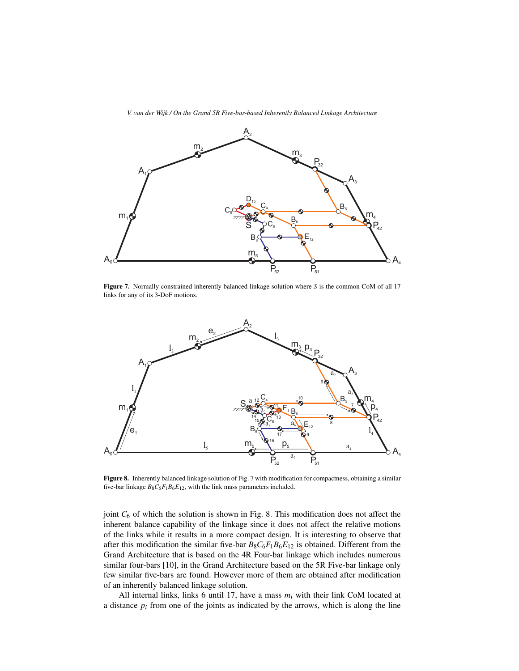

Figure 7. Normally constrained inherently balanced linkage solution where *S* is the common CoM of all 17 links for any of its 3-DoF motions.



Figure 8. Inherently balanced linkage solution of Fig. 7 with modification for compactness, obtaining a similar five-bar linkage  $B_8C_6F_1B_6E_{12}$ , with the link mass parameters included.

joint  $C_6$  of which the solution is shown in Fig. 8. This modification does not affect the inherent balance capability of the linkage since it does not affect the relative motions of the links while it results in a more compact design. It is interesting to observe that after this modification the similar five-bar  $B_8C_6F_1B_6E_{12}$  is obtained. Different from the Grand Architecture that is based on the 4R Four-bar linkage which includes numerous similar four-bars [10], in the Grand Architecture based on the 5R Five-bar linkage only few similar five-bars are found. However more of them are obtained after modification of an inherently balanced linkage solution.

All internal links, links 6 until 17, have a mass  $m_i$  with their link CoM located at a distance  $p_i$  from one of the joints as indicated by the arrows, which is along the line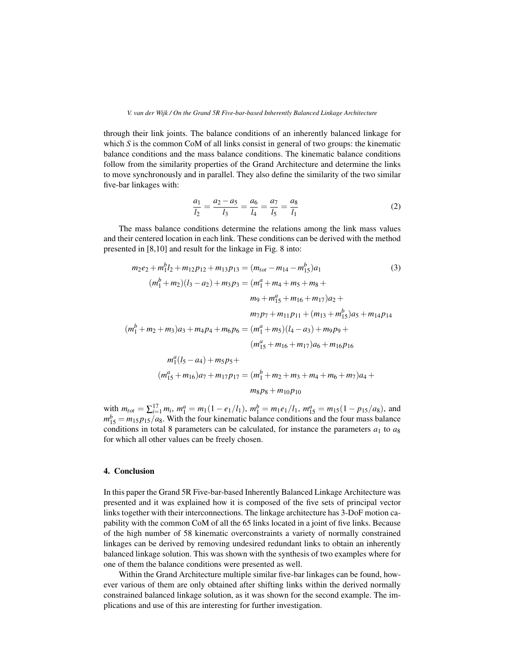through their link joints. The balance conditions of an inherently balanced linkage for which *S* is the common CoM of all links consist in general of two groups: the kinematic balance conditions and the mass balance conditions. The kinematic balance conditions follow from the similarity properties of the Grand Architecture and determine the links to move synchronously and in parallel. They also define the similarity of the two similar five-bar linkages with:

$$
\frac{a_1}{l_2} = \frac{a_2 - a_5}{l_3} = \frac{a_6}{l_4} = \frac{a_7}{l_5} = \frac{a_8}{l_1}
$$
 (2)

The mass balance conditions determine the relations among the link mass values and their centered location in each link. These conditions can be derived with the method presented in [8,10] and result for the linkage in Fig. 8 into:

$$
m_2e_2 + m_1^b l_2 + m_{12}p_{12} + m_{13}p_{13} = (m_{tot} - m_{14} - m_{15}^b)a_1
$$
\n
$$
(m_1^b + m_2)(l_3 - a_2) + m_3p_3 = (m_1^a + m_4 + m_5 + m_8 + m_9 + m_{15} + m_{16} + m_{17})a_2 +
$$
\n
$$
m_1p_1 + m_{15} + m_{16} + m_{17})a_2 +
$$
\n
$$
m_1p_2 + m_{11}p_{11} + (m_{13} + m_{15}^b)a_5 + m_{14}p_{14}
$$
\n
$$
(m_1^b + m_2 + m_3)a_3 + m_4p_4 + m_6p_6 = (m_1^a + m_5)(l_4 - a_3) + m_9p_9 +
$$
\n
$$
(m_{15}^a + m_{16} + m_{17})a_6 + m_{16}p_{16}
$$
\n
$$
m_1^a(l_5 - a_4) + m_5p_5 +
$$
\n
$$
(m_{15}^a + m_{16})a_7 + m_{17}p_{17} = (m_1^b + m_2 + m_3 + m_4 + m_6 + m_7)a_4 +
$$
\n
$$
m_8p_8 + m_{10}p_{10}
$$
\n(3)

with  $m_{tot} = \sum_{i=1}^{17} m_i$ ,  $m_1^a = m_1(1 - e_1/l_1)$ ,  $m_1^b = m_1 e_1/l_1$ ,  $m_{15}^a = m_{15}(1 - p_{15}/a_8)$ , and  $m_{15}^b = m_{15} p_{15}/a_8$ . With the four kinematic balance conditions and the four mass balance conditions in total 8 parameters can be calculated, for instance the parameters  $a_1$  to  $a_8$ for which all other values can be freely chosen.

#### 4. Conclusion

In this paper the Grand 5R Five-bar-based Inherently Balanced Linkage Architecture was presented and it was explained how it is composed of the five sets of principal vector links together with their interconnections. The linkage architecture has 3-DoF motion capability with the common CoM of all the 65 links located in a joint of five links. Because of the high number of 58 kinematic overconstraints a variety of normally constrained linkages can be derived by removing undesired redundant links to obtain an inherently balanced linkage solution. This was shown with the synthesis of two examples where for one of them the balance conditions were presented as well.

Within the Grand Architecture multiple similar five-bar linkages can be found, however various of them are only obtained after shifting links within the derived normally constrained balanced linkage solution, as it was shown for the second example. The implications and use of this are interesting for further investigation.